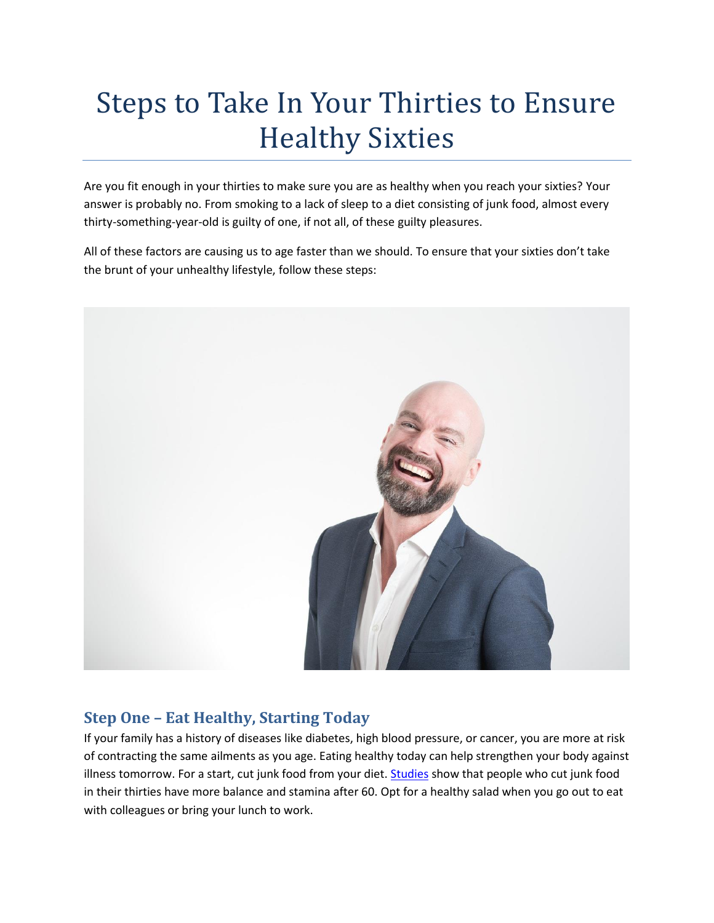# Steps to Take In Your Thirties to Ensure Healthy Sixties

Are you fit enough in your thirties to make sure you are as healthy when you reach your sixties? Your answer is probably no. From smoking to a lack of sleep to a diet consisting of junk food, almost every thirty-something-year-old is guilty of one, if not all, of these guilty pleasures.

All of these factors are causing us to age faster than we should. To ensure that your sixties don't take the brunt of your unhealthy lifestyle, follow these steps:



### **Step One – Eat Healthy, Starting Today**

If your family has a history of diseases like diabetes, high blood pressure, or cancer, you are more at risk of contracting the same ailments as you age. Eating healthy today can help strengthen your body against illness tomorrow. For a start, cut junk food from your diet. [Studies](http://www.dailymail.co.uk/health/article-4994318/Eating-30s-keeps-fit-60s.html) show that people who cut junk food in their thirties have more balance and stamina after 60. Opt for a healthy salad when you go out to eat with colleagues or bring your lunch to work.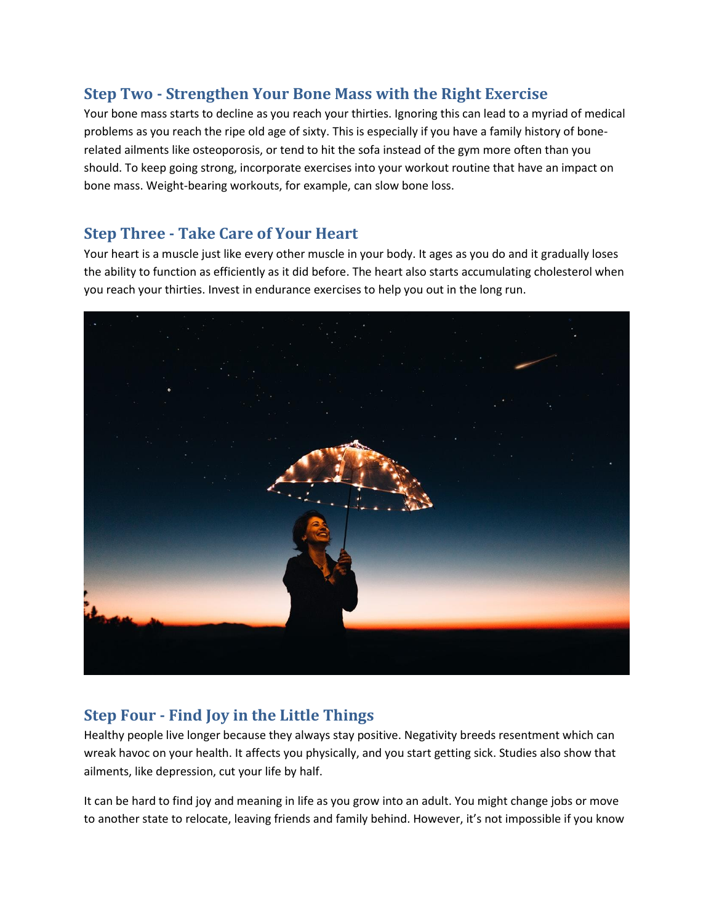## **Step Two - Strengthen Your Bone Mass with the Right Exercise**

Your bone mass starts to decline as you reach your thirties. Ignoring this can lead to a myriad of medical problems as you reach the ripe old age of sixty. This is especially if you have a family history of bonerelated ailments like osteoporosis, or tend to hit the sofa instead of the gym more often than you should. To keep going strong, incorporate exercises into your workout routine that have an impact on bone mass. Weight-bearing workouts, for example, can slow bone loss.

#### **Step Three - Take Care of Your Heart**

Your heart is a muscle just like every other muscle in your body. It ages as you do and it gradually loses the ability to function as efficiently as it did before. The heart also starts accumulating cholesterol when you reach your thirties. Invest in endurance exercises to help you out in the long run.



# **Step Four - Find Joy in the Little Things**

Healthy people live longer because they always stay positive. Negativity breeds resentment which can wreak havoc on your health. It affects you physically, and you start getting sick. Studies also show that ailments, like depression, cut your life by half.

It can be hard to find joy and meaning in life as you grow into an adult. You might change jobs or move to another state to relocate, leaving friends and family behind. However, it's not impossible if you know